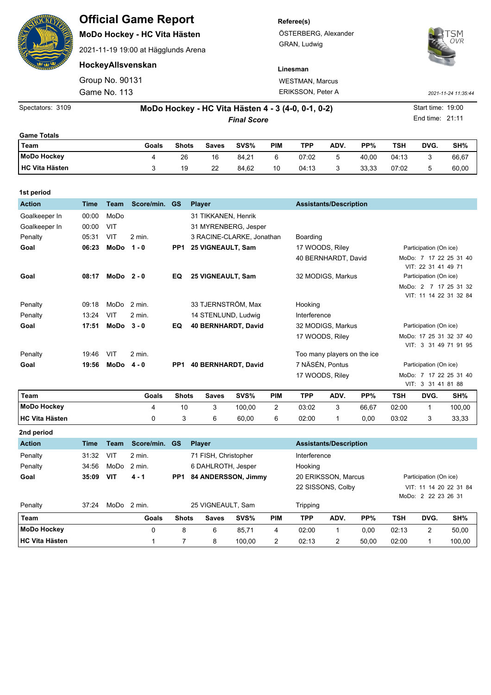| <b>Kali</b>           |                    |                                                                         | <b>Official Game Report</b><br>MoDo Hockey - HC Vita Hästen<br>2021-11-19 19:00 at Hägglunds Arena |              |                    |                                                    |            | Referee(s)<br>ÖSTERBERG, Alexander<br>GRAN, Ludwig | <b>OVR</b>                    |       |            |      |                     |
|-----------------------|--------------------|-------------------------------------------------------------------------|----------------------------------------------------------------------------------------------------|--------------|--------------------|----------------------------------------------------|------------|----------------------------------------------------|-------------------------------|-------|------------|------|---------------------|
|                       |                    |                                                                         | HockeyAllsvenskan                                                                                  |              |                    |                                                    | Linesman   |                                                    |                               |       |            |      |                     |
|                       |                    | Group No. 90131                                                         |                                                                                                    |              |                    | <b>WESTMAN, Marcus</b><br><b>ERIKSSON, Peter A</b> |            |                                                    |                               |       |            |      |                     |
|                       |                    | Game No. 113                                                            |                                                                                                    |              |                    |                                                    |            |                                                    |                               |       |            |      | 2021-11-24 11:35:44 |
| Spectators: 3109      |                    | Start time: 19:00<br>MoDo Hockey - HC Vita Hästen 4 - 3 (4-0, 0-1, 0-2) |                                                                                                    |              |                    |                                                    |            |                                                    |                               |       |            |      |                     |
|                       | <b>Final Score</b> |                                                                         |                                                                                                    |              |                    |                                                    |            |                                                    |                               |       |            |      | End time: 21:11     |
| <b>Game Totals</b>    |                    |                                                                         |                                                                                                    |              |                    |                                                    |            |                                                    |                               |       |            |      |                     |
| Team                  |                    |                                                                         | Goals                                                                                              | <b>Shots</b> | <b>Saves</b>       | SVS%                                               | <b>PIM</b> | <b>TPP</b>                                         | ADV.                          | PP%   | <b>TSH</b> | DVG. | SH%                 |
| <b>MoDo Hockey</b>    |                    |                                                                         | 4                                                                                                  | 26           | 16                 | 84,21                                              | 6          | 07:02                                              | 5                             | 40,00 | 04:13      | 3    | 66,67               |
| <b>HC Vita Hästen</b> |                    |                                                                         | 3                                                                                                  | 19           | 22                 | 84,62                                              | 10         | 04:13                                              | 3                             | 33,33 | 07:02      | 5    | 60,00               |
| 1st period            |                    |                                                                         |                                                                                                    |              |                    |                                                    |            |                                                    |                               |       |            |      |                     |
| <b>Action</b>         | <b>Time</b>        | <b>Team</b>                                                             | Score/min.                                                                                         | <b>GS</b>    | <b>Player</b>      |                                                    |            |                                                    | <b>Assistants/Description</b> |       |            |      |                     |
| Coalkaanar In         | ∩∩∙∩∩              | M <sub>0</sub>                                                          |                                                                                                    |              | 31 TIKKANEN Honrik |                                                    |            |                                                    |                               |       |            |      |                     |

| <b>Action</b> | <b>Time</b> | <b>Team</b>  | Score/min. | <b>GS</b>       | <b>Player</b>             | <b>Assistants/Description</b> |                                                  |
|---------------|-------------|--------------|------------|-----------------|---------------------------|-------------------------------|--------------------------------------------------|
| Goalkeeper In | 00:00       | MoDo         |            |                 | 31 TIKKANEN, Henrik       |                               |                                                  |
| Goalkeeper In | 00:00       | VIT          |            |                 | 31 MYRENBERG, Jesper      |                               |                                                  |
| Penalty       | 05:31       | VIT          | $2$ min.   |                 | 3 RACINE-CLARKE, Jonathan | Boarding                      |                                                  |
| Goal          | 06:23       | MoDo         | $1 - 0$    | PP <sub>1</sub> | 25 VIGNEAULT, Sam         | 17 WOODS, Riley               | Participation (On ice)                           |
|               |             |              |            |                 |                           | 40 BERNHARDT, David           | 7 17 22 25 31 40<br>MoDo:<br>VIT: 22 31 41 49 71 |
| Goal          | 08:17       | $MODo 2-0$   |            | EQ              | 25 VIGNEAULT, Sam         | 32 MODIGS, Markus             | Participation (On ice)                           |
|               |             |              |            |                 |                           |                               | MoDo: 2 7 17 25 31 32                            |
|               |             |              |            |                 |                           |                               | VIT: 11 14 22 31 32 84                           |
| Penalty       | 09:18       | MoDo         | 2 min.     |                 | 33 TJERNSTRÖM, Max        | Hooking                       |                                                  |
| Penalty       | 13:24       | VIT          | 2 min.     |                 | 14 STENLUND, Ludwig       | Interference                  |                                                  |
| Goal          | 17:51       | $MODo3 - 0$  |            | EQ              | 40 BERNHARDT, David       | 32 MODIGS, Markus             | Participation (On ice)                           |
|               |             |              |            |                 |                           | 17 WOODS, Riley               | MoDo: 17 25 31 32 37 40                          |
|               |             |              |            |                 |                           |                               | VIT: 3 31 49 71 91 95                            |
| Penalty       | 19:46       | VIT          | 2 min.     |                 |                           | Too many players on the ice   |                                                  |
| Goal          | 19:56       | $MODo$ 4 - 0 |            | PP <sub>1</sub> | 40 BERNHARDT, David       | 7 NÄSÉN, Pontus               | Participation (On ice)                           |
|               |             |              |            |                 |                           | 17 WOODS, Riley               | MoDo: 7 17 22 25 31 40                           |
|               |             |              |            |                 |                           |                               | VIT: 3 31 41 81 88                               |

| Team                   | Goals | <b>Shots</b> | <b>Saves</b> | SVS%   | <b>PIM</b> | TPP   | ADV. | $PP\%$ | TSH   | DVG. | SH%    |
|------------------------|-------|--------------|--------------|--------|------------|-------|------|--------|-------|------|--------|
| <b>IMODO Hockey</b>    |       | 10           | ັ            | 100.00 |            | 03:02 | ັ    | 66,67  | 02:00 |      | 100,00 |
| <b>IHC Vita Hästen</b> |       |              |              | 60,00  | 6          | 02:00 |      | 0.00   | 03:02 |      | 33,33  |

**2nd period**

| <b>Action</b>         | Time  | Team | Score/min.             | <b>GS</b>       | <b>Player</b>        |  |        |                   | <b>Assistants/Description</b> |      |                        |                     |      |        |  |
|-----------------------|-------|------|------------------------|-----------------|----------------------|--|--------|-------------------|-------------------------------|------|------------------------|---------------------|------|--------|--|
| Penalty               | 31:32 | VIT  | 2 min.                 |                 | 71 FISH, Christopher |  |        |                   | Interference                  |      |                        |                     |      |        |  |
| Penalty               | 34:56 | MoDo | 2 min.                 |                 | 6 DAHLROTH, Jesper   |  |        |                   | Hooking                       |      |                        |                     |      |        |  |
| Goal                  | 35:09 | VIT  | $4 - 1$                | PP <sub>1</sub> | 84 ANDERSSON, Jimmy  |  |        |                   | 20 ERIKSSON, Marcus           |      | Participation (On ice) |                     |      |        |  |
|                       |       |      |                        |                 |                      |  |        | 22 SISSONS, Colby |                               |      | VIT: 11 14 20 22 31 84 |                     |      |        |  |
|                       |       |      |                        |                 |                      |  |        |                   |                               |      |                        | MoDo: 2 22 23 26 31 |      |        |  |
| Penalty               | 37:24 |      | MODo <sub>2</sub> min. |                 | 25 VIGNEAULT, Sam    |  |        |                   | Tripping                      |      |                        |                     |      |        |  |
| Team                  |       |      | Goals                  | <b>Shots</b>    | <b>Saves</b>         |  | SVS%   | <b>PIM</b>        | TPP                           | ADV. | PP%                    | TSH                 | DVG. | SH%    |  |
| MoDo Hockey           |       |      | 0                      | 8               | 6                    |  | 85.71  | 4                 | 02:00                         | 1    | 0.00                   | 02:13               | 2    | 50,00  |  |
| <b>HC Vita Hästen</b> |       |      |                        |                 | 8                    |  | 100.00 | 2                 | 02:13                         | 2    | 50.00                  | 02:00               |      | 100,00 |  |